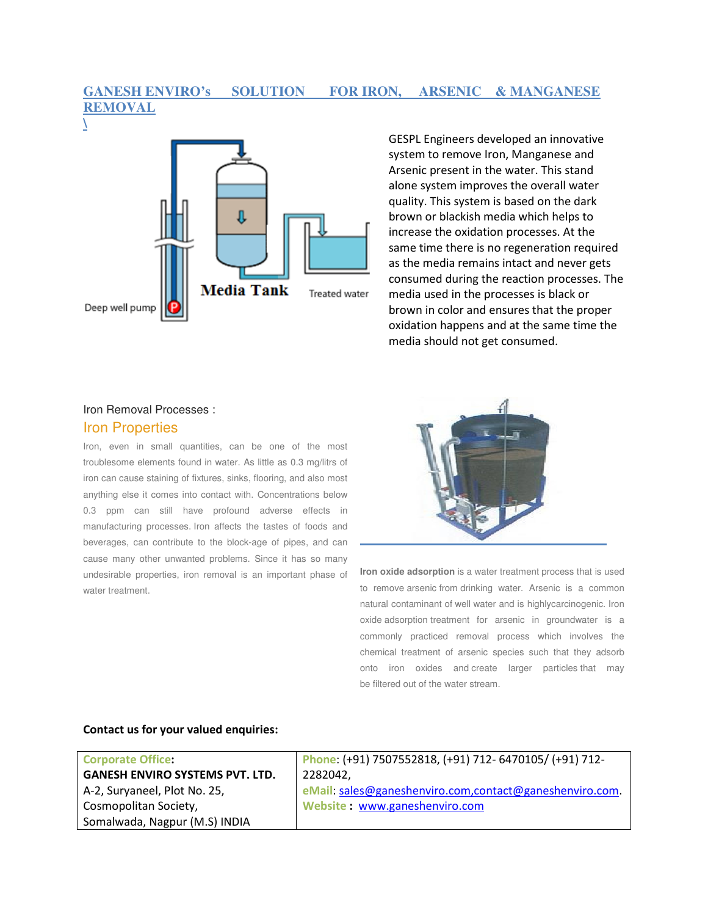## **GANESH ENVIRO's SOLUTION FOR IRON, ARSENIC & MANGANESE REMOVAL**



GESPL Engineers developed an innovative system to remove Iron, Manganese and Arsenic present in the water. This stand alone system improves the overall water quality. This system is based on the dark brown or blackish media which helps to increase the oxidation processes. At the same time there is no regeneration required as the media remains intact and never gets consumed during the reaction processes. The media used in the processes is black or brown in color and ensures that the proper oxidation happens and at the same time the media should not get consumed.

### Iron Removal Processes : Iron Properties

Iron, even in small quantities, can be one of the most troublesome elements found in water. As little as 0.3 mg/litrs of iron can cause staining of fixtures, sinks, flooring, and also most anything else it comes into contact with. Concentrations below 0.3 ppm can still have profound adverse effects in manufacturing processes. Iron affects the tastes of foods and beverages, can contribute to the block-age of pipes, and can cause many other unwanted problems. Since it has so many undesirable properties, iron removal is an important phase of water treatment.



**Iron oxide adsorption** is a water treatment process that is used to remove arsenic from drinking water. Arsenic is a common natural contaminant of well water and is highlycarcinogenic. Iron oxide adsorption treatment for arsenic in groundwater is a commonly practiced removal process which involves the chemical treatment of arsenic species such that they adsorb onto iron oxides and create larger particles that may be filtered out of the water stream.

#### Contact us for your valued enquiries:

| <b>Corporate Office:</b>               | Phone: (+91) 7507552818, (+91) 712- 6470105/ (+91) 712- |
|----------------------------------------|---------------------------------------------------------|
| <b>GANESH ENVIRO SYSTEMS PVT. LTD.</b> | 2282042.                                                |
| A-2, Suryaneel, Plot No. 25,           | eMail: sales@ganeshenviro.com,contact@ganeshenviro.com. |
| Cosmopolitan Society,                  | Website: www.ganeshenviro.com                           |
| Somalwada, Nagpur (M.S) INDIA          |                                                         |